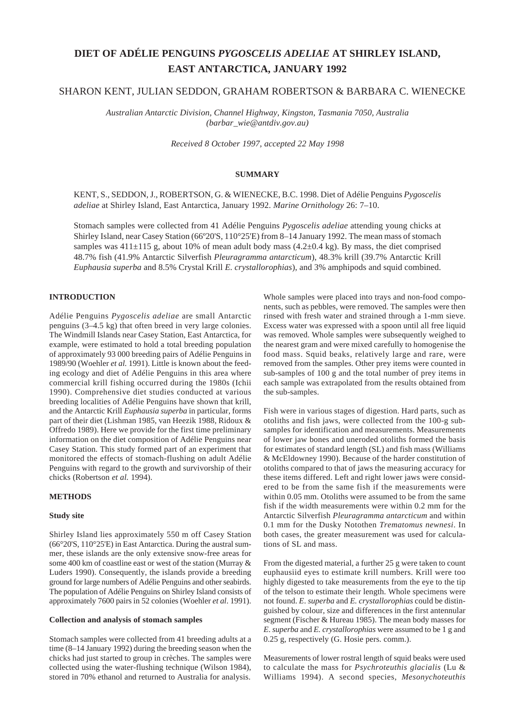# **DIET OF ADÉLIE PENGUINS** *PYGOSCELIS ADELIAE* **AT SHIRLEY ISLAND, EAST ANTARCTICA, JANUARY 1992**

## SHARON KENT, JULIAN SEDDON, GRAHAM ROBERTSON & BARBARA C. WIENECKE

*Australian Antarctic Division, Channel Highway, Kingston, Tasmania 7050, Australia (barbar\_wie@antdiv.gov.au)*

*Received 8 October 1997, accepted 22 May 1998*

## **SUMMARY**

KENT, S., SEDDON, J., ROBERTSON, G. & WIENECKE, B.C. 1998. Diet of Adélie Penguins *Pygoscelis adeliae* at Shirley Island, East Antarctica, January 1992. *Marine Ornithology* 26: 7–10.

Stomach samples were collected from 41 Adélie Penguins *Pygoscelis adeliae* attending young chicks at Shirley Island, near Casey Station (66º20'S, 110°25'E) from 8–14 January 1992. The mean mass of stomach samples was  $411\pm115$  g, about 10% of mean adult body mass (4.2 $\pm$ 0.4 kg). By mass, the diet comprised 48.7% fish (41.9% Antarctic Silverfish *Pleuragramma antarcticum*), 48.3% krill (39.7% Antarctic Krill *Euphausia superba* and 8.5% Crystal Krill *E. crystallorophias*), and 3% amphipods and squid combined.

## **INTRODUCTION**

Adélie Penguins *Pygoscelis adeliae* are small Antarctic penguins (3–4.5 kg) that often breed in very large colonies. The Windmill Islands near Casey Station, East Antarctica, for example, were estimated to hold a total breeding population of approximately 93 000 breeding pairs of Adélie Penguins in 1989/90 (Woehler *et al.* 1991). Little is known about the feeding ecology and diet of Adélie Penguins in this area where commercial krill fishing occurred during the 1980s (Ichii 1990). Comprehensive diet studies conducted at various breeding localities of Adélie Penguins have shown that krill, and the Antarctic Krill *Euphausia superba* in particular, forms part of their diet (Lishman 1985, van Heezik 1988, Ridoux & Offredo 1989). Here we provide for the first time preliminary information on the diet composition of Adélie Penguins near Casey Station. This study formed part of an experiment that monitored the effects of stomach-flushing on adult Adélie Penguins with regard to the growth and survivorship of their chicks (Robertson *et al.* 1994).

#### **METHODS**

#### **Study site**

Shirley Island lies approximately 550 m off Casey Station (66°20'S, 110°25'E) in East Antarctica. During the austral summer, these islands are the only extensive snow-free areas for some 400 km of coastline east or west of the station (Murray & Luders 1990). Consequently, the islands provide a breeding ground for large numbers of Adélie Penguins and other seabirds. The population of Adélie Penguins on Shirley Island consists of approximately 7600 pairs in 52 colonies (Woehler *et al*. 1991).

#### **Collection and analysis of stomach samples**

Stomach samples were collected from 41 breeding adults at a time (8–14 January 1992) during the breeding season when the chicks had just started to group in crèches. The samples were collected using the water-flushing technique (Wilson 1984), stored in 70% ethanol and returned to Australia for analysis.

Whole samples were placed into trays and non-food components, such as pebbles, were removed. The samples were then rinsed with fresh water and strained through a 1-mm sieve. Excess water was expressed with a spoon until all free liquid was removed. Whole samples were subsequently weighed to the nearest gram and were mixed carefully to homogenise the food mass. Squid beaks, relatively large and rare, were removed from the samples. Other prey items were counted in sub-samples of 100 g and the total number of prey items in each sample was extrapolated from the results obtained from the sub-samples.

Fish were in various stages of digestion. Hard parts, such as otoliths and fish jaws, were collected from the 100-g subsamples for identification and measurements. Measurements of lower jaw bones and uneroded otoliths formed the basis for estimates of standard length (SL) and fish mass (Williams & McEldowney 1990). Because of the harder constitution of otoliths compared to that of jaws the measuring accuracy for these items differed. Left and right lower jaws were considered to be from the same fish if the measurements were within 0.05 mm. Otoliths were assumed to be from the same fish if the width measurements were within 0.2 mm for the Antarctic Silverfish *Pleuragramma antarcticum* and within 0.1 mm for the Dusky Notothen *Trematomus newnesi*. In both cases, the greater measurement was used for calculations of SL and mass.

From the digested material, a further 25 g were taken to count euphausiid eyes to estimate krill numbers. Krill were too highly digested to take measurements from the eye to the tip of the telson to estimate their length. Whole specimens were not found. *E*. *superba* and *E. crystallorophias* could be distinguished by colour, size and differences in the first antennular segment (Fischer & Hureau 1985). The mean body masses for *E*. *superba* and *E. crystallorophias* were assumed to be 1 g and 0.25 g, respectively (G. Hosie pers. comm.).

Measurements of lower rostral length of squid beaks were used to calculate the mass for *Psychroteuthis glacialis* (Lu & Williams 1994). A second species, *Mesonychoteuthis*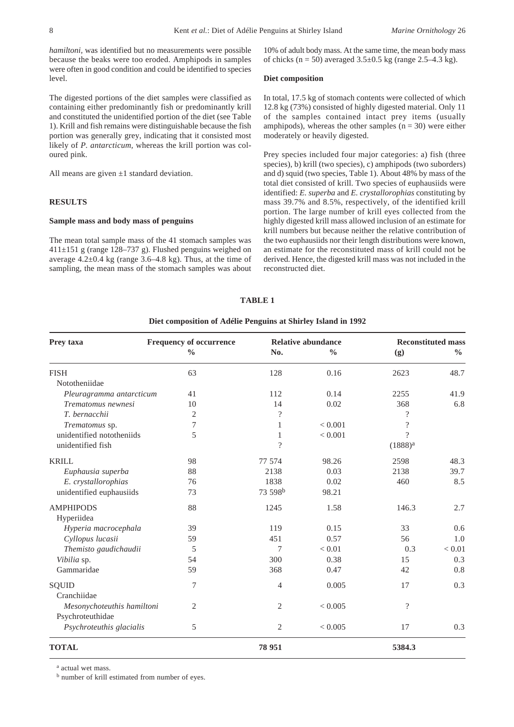*hamiltoni,* was identified but no measurements were possible because the beaks were too eroded. Amphipods in samples were often in good condition and could be identified to species level.

The digested portions of the diet samples were classified as containing either predominantly fish or predominantly krill and constituted the unidentified portion of the diet (see Table 1). Krill and fish remains were distinguishable because the fish portion was generally grey, indicating that it consisted most likely of *P. antarcticum,* whereas the krill portion was coloured pink.

All means are given  $\pm 1$  standard deviation.

#### **RESULTS**

#### **Sample mass and body mass of penguins**

The mean total sample mass of the 41 stomach samples was 411±151 g (range 128–737 g). Flushed penguins weighed on average  $4.2\pm0.4$  kg (range  $3.6-4.8$  kg). Thus, at the time of sampling, the mean mass of the stomach samples was about 10% of adult body mass. At the same time, the mean body mass of chicks ( $n = 50$ ) averaged  $3.5 \pm 0.5$  kg (range 2.5–4.3 kg).

#### **Diet composition**

In total, 17.5 kg of stomach contents were collected of which 12.8 kg (73%) consisted of highly digested material. Only 11 of the samples contained intact prey items (usually amphipods), whereas the other samples  $(n = 30)$  were either moderately or heavily digested.

Prey species included four major categories: a) fish (three species), b) krill (two species), c) amphipods (two suborders) and d) squid (two species, Table 1). About 48% by mass of the total diet consisted of krill. Two species of euphausiids were identified: *E. superba* and *E. crystallorophias* constituting by mass 39.7% and 8.5%, respectively, of the identified krill portion. The large number of krill eyes collected from the highly digested krill mass allowed inclusion of an estimate for krill numbers but because neither the relative contribution of the two euphausiids nor their length distributions were known, an estimate for the reconstituted mass of krill could not be derived. Hence, the digested krill mass was not included in the reconstructed diet.

#### **TABLE 1**

#### **Diet composition of Adélie Penguins at Shirley Island in 1992**

| Prey taxa                  | <b>Frequency of occurrence</b><br>$\frac{0}{0}$ | <b>Relative abundance</b> |               | <b>Reconstituted mass</b> |               |
|----------------------------|-------------------------------------------------|---------------------------|---------------|---------------------------|---------------|
|                            |                                                 | No.                       | $\frac{0}{0}$ | (g)                       | $\frac{0}{0}$ |
| <b>FISH</b>                | 63                                              | 128                       | 0.16          | 2623                      | 48.7          |
| Nototheniidae              |                                                 |                           |               |                           |               |
| Pleuragramma antarcticum   | 41                                              | 112                       | 0.14          | 2255                      | 41.9          |
| Trematomus newnesi         | 10                                              | 14                        | 0.02          | 368                       | 6.8           |
| T. bernacchii              | 2                                               | $\gamma$                  |               | $\gamma$                  |               |
| Trematomus sp.             | 7                                               | 1                         | < 0.001       | $\overline{?}$            |               |
| unidentified nototheniids  | 5                                               | 1                         | < 0.001       | $\gamma$                  |               |
| unidentified fish          |                                                 | $\gamma$                  |               | $(1888)^{a}$              |               |
| <b>KRILL</b>               | 98                                              | 77 574                    | 98.26         | 2598                      | 48.3          |
| Euphausia superba          | 88                                              | 2138                      | 0.03          | 2138                      | 39.7          |
| E. crystallorophias        | 76                                              | 1838                      | 0.02          | 460                       | 8.5           |
| unidentified euphausiids   | 73                                              | 73 598 <sup>b</sup>       | 98.21         |                           |               |
| <b>AMPHIPODS</b>           | 88                                              | 1245                      | 1.58          | 146.3                     | 2.7           |
| Hyperiidea                 |                                                 |                           |               |                           |               |
| Hyperia macrocephala       | 39                                              | 119                       | 0.15          | 33                        | 0.6           |
| Cyllopus lucasii           | 59                                              | 451                       | 0.57          | 56                        | 1.0           |
| Themisto gaudichaudii      | 5                                               | 7                         | < 0.01        | 0.3                       | < 0.01        |
| Vibilia sp.                | 54                                              | 300                       | 0.38          | 15                        | 0.3           |
| Gammaridae                 | 59                                              | 368                       | 0.47          | 42                        | 0.8           |
| SQUID                      | 7                                               | 4                         | 0.005         | 17                        | 0.3           |
| Cranchiidae                |                                                 |                           |               |                           |               |
| Mesonychoteuthis hamiltoni | $\overline{c}$                                  | $\overline{c}$            | < 0.005       | $\overline{\cdot}$        |               |
| Psychroteuthidae           |                                                 |                           |               |                           |               |
| Psychroteuthis glacialis   | 5                                               | $\overline{2}$            | < 0.005       | 17                        | 0.3           |
| <b>TOTAL</b>               |                                                 | 78 951                    |               | 5384.3                    |               |

a actual wet mass.

b number of krill estimated from number of eyes.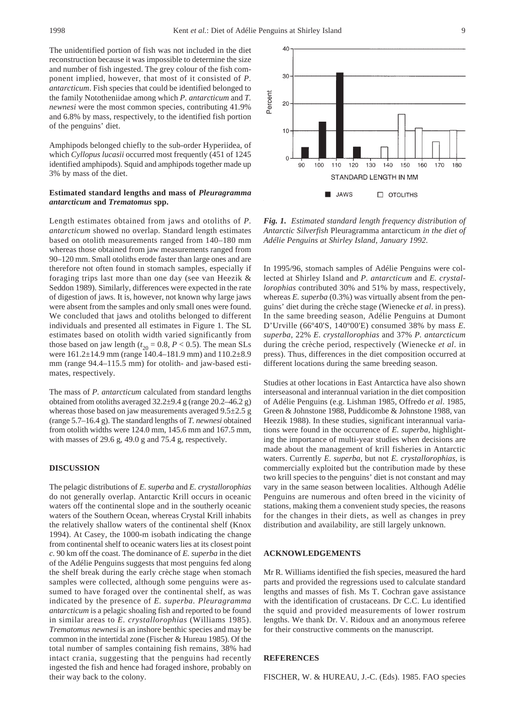The unidentified portion of fish was not included in the diet reconstruction because it was impossible to determine the size and number of fish ingested. The grey colour of the fish component implied, however, that most of it consisted of *P. antarcticum*. Fish species that could be identified belonged to the family Nototheniidae among which *P. antarcticum* and *T. newnesi* were the most common species, contributing 41.9% and 6.8% by mass, respectively, to the identified fish portion of the penguins' diet.

Amphipods belonged chiefly to the sub-order Hyperiidea, of which *Cyllopus lucasii* occurred most frequently (451 of 1245 identified amphipods). Squid and amphipods together made up 3% by mass of the diet.

#### **Estimated standard lengths and mass of** *Pleuragramma antarcticum* **and** *Trematomus* **spp.**

Length estimates obtained from jaws and otoliths of *P. antarcticum* showed no overlap. Standard length estimates based on otolith measurements ranged from 140–180 mm whereas those obtained from jaw measurements ranged from 90–120 mm. Small otoliths erode faster than large ones and are therefore not often found in stomach samples, especially if foraging trips last more than one day (see van Heezik & Seddon 1989). Similarly, differences were expected in the rate of digestion of jaws. It is, however, not known why large jaws were absent from the samples and only small ones were found. We concluded that jaws and otoliths belonged to different individuals and presented all estimates in Figure 1. The SL estimates based on otolith width varied significantly from those based on jaw length ( $t_{20}$  = 0.8, *P* < 0.5). The mean SLs were 161.2±14.9 mm (range 140.4–181.9 mm) and 110.2±8.9 mm (range 94.4–115.5 mm) for otolith- and jaw-based estimates, respectively.

The mass of *P. antarcticum* calculated from standard lengths obtained from otoliths averaged 32.2±9.4 g (range 20.2–46.2 g) whereas those based on jaw measurements averaged  $9.5\pm2.5$  g (range 5.7–16.4 g). The standard lengths of *T. newnesi* obtained from otolith widths were 124.0 mm, 145.6 mm and 167.5 mm, with masses of 29.6 g, 49.0 g and 75.4 g, respectively.

## **DISCUSSION**

The pelagic distributions of *E. superba* and *E. crystallorophias* do not generally overlap. Antarctic Krill occurs in oceanic waters off the continental slope and in the southerly oceanic waters of the Southern Ocean, whereas Crystal Krill inhabits the relatively shallow waters of the continental shelf (Knox 1994). At Casey, the 1000-m isobath indicating the change from continental shelf to oceanic waters lies at its closest point *c.* 90 km off the coast. The dominance of *E. superba* in the diet of the Adélie Penguins suggests that most penguins fed along the shelf break during the early crèche stage when stomach samples were collected, although some penguins were assumed to have foraged over the continental shelf, as was indicated by the presence of *E. superba. Pleuragramma antarcticum* is a pelagic shoaling fish and reported to be found in similar areas to *E. crystallorophias* (Williams 1985). *Trematomus newnesi* is an inshore benthic species and may be common in the intertidal zone (Fischer & Hureau 1985). Of the total number of samples containing fish remains, 38% had intact crania, suggesting that the penguins had recently ingested the fish and hence had foraged inshore, probably on their way back to the colony.



*Fig. 1. Estimated standard length frequency distribution of Antarctic Silverfish* Pleuragramma antarcticum *in the diet of Adélie Penguins at Shirley Island, January 1992.*

In 1995/96, stomach samples of Adélie Penguins were collected at Shirley Island and *P. antarcticum* and *E. crystallorophias* contributed 30% and 51% by mass, respectively, whereas *E. superba* (0.3%) was virtually absent from the penguins' diet during the crèche stage (Wienecke *et al*. in press). In the same breeding season, Adélie Penguins at Dumont D'Urville (66º40'S, 140º00'E) consumed 38% by mass *E. superba*, 22% *E. crystallorophias* and 37% *P. antarcticum* during the crèche period, respectively (Wienecke *et al*. in press). Thus, differences in the diet composition occurred at different locations during the same breeding season.

Studies at other locations in East Antarctica have also shown interseasonal and interannual variation in the diet composition of Adélie Penguins (e.g. Lishman 1985, Offredo *et al*. 1985, Green & Johnstone 1988, Puddicombe & Johnstone 1988, van Heezik 1988). In these studies, significant interannual variations were found in the occurrence of *E. superba*, highlighting the importance of multi-year studies when decisions are made about the management of krill fisheries in Antarctic waters. Currently *E. superba*, but not *E. crystallorophias*, is commercially exploited but the contribution made by these two krill species to the penguins' diet is not constant and may vary in the same season between localities. Although Adélie Penguins are numerous and often breed in the vicinity of stations, making them a convenient study species, the reasons for the changes in their diets, as well as changes in prey distribution and availability, are still largely unknown.

### **ACKNOWLEDGEMENTS**

Mr R. Williams identified the fish species, measured the hard parts and provided the regressions used to calculate standard lengths and masses of fish. Ms T. Cochran gave assistance with the identification of crustaceans. Dr C.C. Lu identified the squid and provided measurements of lower rostrum lengths. We thank Dr. V. Ridoux and an anonymous referee for their constructive comments on the manuscript.

#### **REFERENCES**

FISCHER, W. & HUREAU, J.-C. (Eds). 1985. FAO species